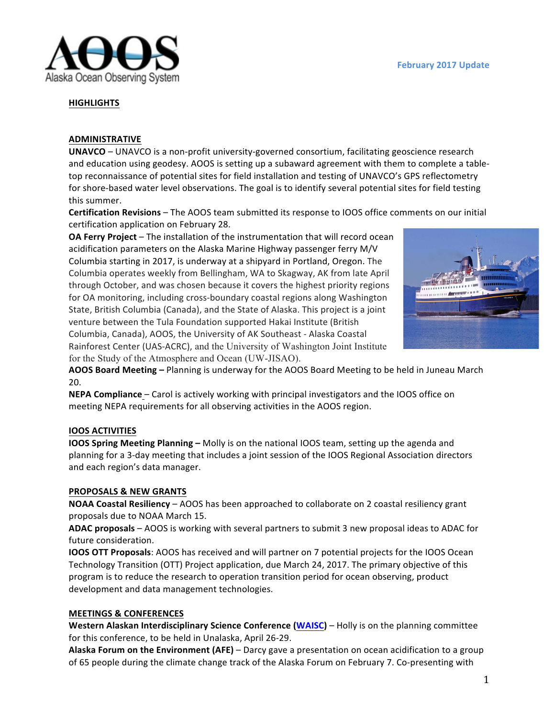

### **HIGHLIGHTS**

### **ADMINISTRATIVE**

**UNAVCO** – UNAVCO is a non-profit university-governed consortium, facilitating geoscience research and education using geodesy. AOOS is setting up a subaward agreement with them to complete a tabletop reconnaissance of potential sites for field installation and testing of UNAVCO's GPS reflectometry for shore-based water level observations. The goal is to identify several potential sites for field testing this summer.

**Certification Revisions** – The AOOS team submitted its response to IOOS office comments on our initial certification application on February 28.

**OA Ferry Project** – The installation of the instrumentation that will record ocean acidification parameters on the Alaska Marine Highway passenger ferry M/V Columbia starting in 2017, is underway at a shipyard in Portland, Oregon. The Columbia operates weekly from Bellingham, WA to Skagway, AK from late April through October, and was chosen because it covers the highest priority regions for OA monitoring, including cross-boundary coastal regions along Washington State, British Columbia (Canada), and the State of Alaska. This project is a joint venture between the Tula Foundation supported Hakai Institute (British Columbia, Canada), AOOS, the University of AK Southeast - Alaska Coastal Rainforest Center (UAS-ACRC), and the University of Washington Joint Institute for the Study of the Atmosphere and Ocean (UW-JISAO).



AOOS Board Meeting - Planning is underway for the AOOS Board Meeting to be held in Juneau March 20.

**NEPA Compliance** – Carol is actively working with principal investigators and the IOOS office on meeting NEPA requirements for all observing activities in the AOOS region.

#### **IOOS ACTIVITIES**

**IOOS Spring Meeting Planning** – Molly is on the national IOOS team, setting up the agenda and planning for a 3-day meeting that includes a joint session of the IOOS Regional Association directors and each region's data manager.

#### **PROPOSALS & NEW GRANTS**

**NOAA Coastal Resiliency** – AOOS has been approached to collaborate on 2 coastal resiliency grant proposals due to NOAA March 15.

ADAC proposals – AOOS is working with several partners to submit 3 new proposal ideas to ADAC for future consideration.

**IOOS OTT Proposals:** AOOS has received and will partner on 7 potential projects for the IOOS Ocean Technology Transition (OTT) Project application, due March 24, 2017. The primary objective of this program is to reduce the research to operation transition period for ocean observing, product development and data management technologies.

#### **MEETINGS & CONFERENCES**

**Western Alaskan Interdisciplinary Science Conference [\(WAISC](https://seagrant.uaf.edu/conferences/waisc/2017/)) – Holly is on the planning committee** for this conference, to be held in Unalaska, April 26-29.

Alaska Forum on the Environment (AFE) – Darcy gave a presentation on ocean acidification to a group of 65 people during the climate change track of the Alaska Forum on February 7. Co-presenting with